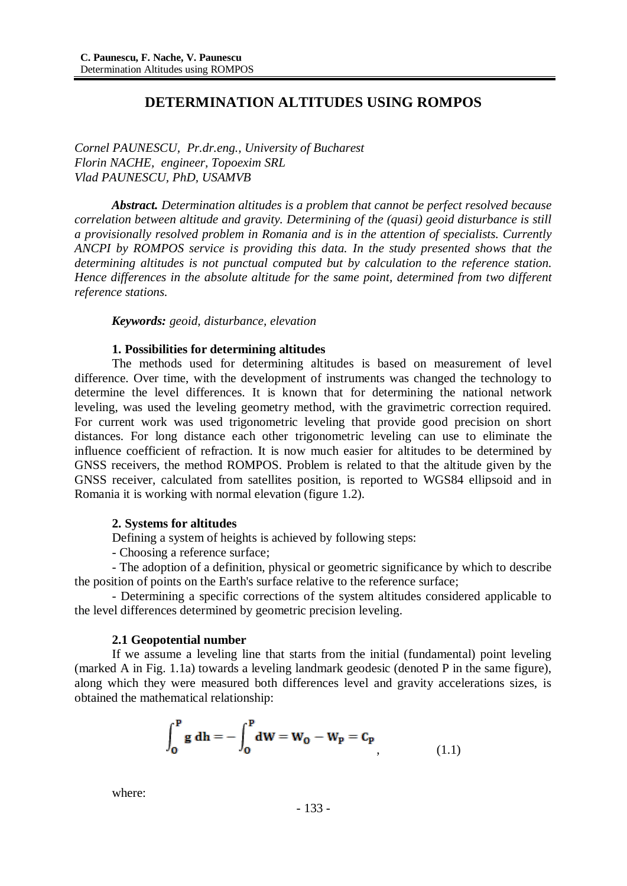# **DETERMINATION ALTITUDES USING ROMPOS**

*Cornel PAUNESCU, Pr.dr.eng., University of Bucharest Florin NACHE, engineer, Topoexim SRL Vlad PAUNESCU, PhD, USAMVB*

*Abstract. Determination altitudes is a problem that cannot be perfect resolved because correlation between altitude and gravity. Determining of the (quasi) geoid disturbance is still a provisionally resolved problem in Romania and is in the attention of specialists. Currently ANCPI by ROMPOS service is providing this data. In the study presented shows that the determining altitudes is not punctual computed but by calculation to the reference station. Hence differences in the absolute altitude for the same point, determined from two different reference stations.*

*Keywords: geoid, disturbance, elevation*

### **1. Possibilities for determining altitudes**

The methods used for determining altitudes is based on measurement of level difference. Over time, with the development of instruments was changed the technology to determine the level differences. It is known that for determining the national network leveling, was used the leveling geometry method, with the gravimetric correction required. For current work was used trigonometric leveling that provide good precision on short distances. For long distance each other trigonometric leveling can use to eliminate the influence coefficient of refraction. It is now much easier for altitudes to be determined by GNSS receivers, the method ROMPOS. Problem is related to that the altitude given by the GNSS receiver, calculated from satellites position, is reported to WGS84 ellipsoid and in Romania it is working with normal elevation (figure 1.2).

## **2. Systems for altitudes**

Defining a system of heights is achieved by following steps:

- Choosing a reference surface;

- The adoption of a definition, physical or geometric significance by which to describe the position of points on the Earth's surface relative to the reference surface;

- Determining a specific corrections of the system altitudes considered applicable to the level differences determined by geometric precision leveling.

#### **2.1 Geopotential number**

If we assume a leveling line that starts from the initial (fundamental) point leveling (marked A in Fig. 1.1a) towards a leveling landmark geodesic (denoted P in the same figure), along which they were measured both differences level and gravity accelerations sizes, is obtained the mathematical relationship:

$$
\int_0^P g \, dh = -\int_0^P dW = W_0 - W_P = C_P
$$
\n(1.1)

where: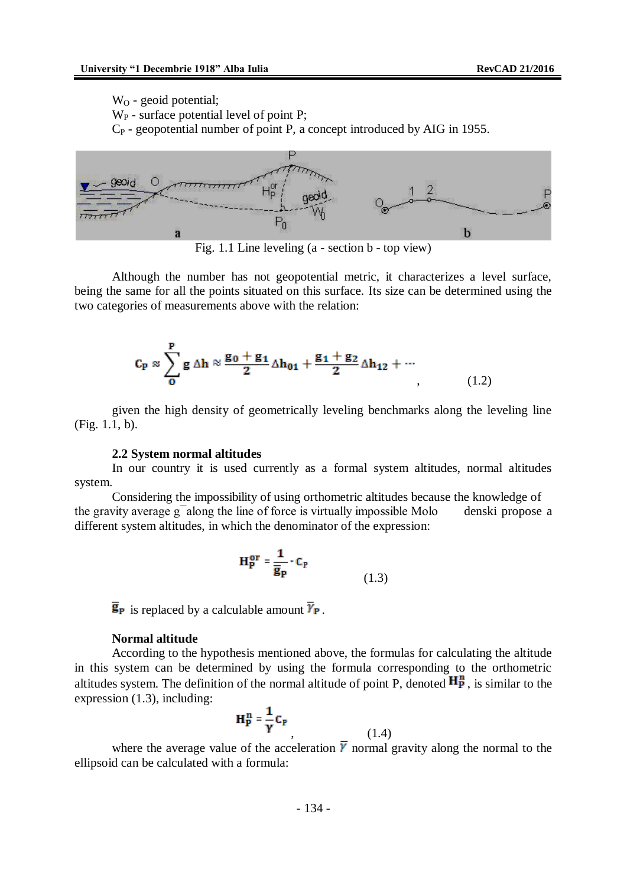$W<sub>O</sub>$  - geoid potential;

 $W_P$  - surface potential level of point P:

C<sup>P</sup> - geopotential number of point P, a concept introduced by AIG in 1955.



Fig. 1.1 Line leveling (a - section b - top view)

Although the number has not geopotential metric, it characterizes a level surface, being the same for all the points situated on this surface. Its size can be determined using the two categories of measurements above with the relation:

$$
\mathbf{C}_{\mathbf{P}} \approx \sum_{\mathbf{O}}^{\mathbf{P}} \mathbf{g} \, \Delta \mathbf{h} \approx \frac{\mathbf{g}_0 + \mathbf{g}_1}{2} \Delta \mathbf{h}_{01} + \frac{\mathbf{g}_1 + \mathbf{g}_2}{2} \Delta \mathbf{h}_{12} + \cdots
$$
\n(1.2)

given the high density of geometrically leveling benchmarks along the leveling line (Fig. 1.1, b).

#### **2.2 System normal altitudes**

In our country it is used currently as a formal system altitudes, normal altitudes system.

Considering the impossibility of using orthometric altitudes because the knowledge of the gravity average  $g^-$ along the line of force is virtually impossible Molo denski propose a different system altitudes, in which the denominator of the expression:

$$
\mathbf{H}_{\mathbf{P}}^{\mathbf{or}} = \frac{\mathbf{1}}{\overline{\mathbf{g}}_{\mathbf{P}}} \cdot \mathbf{C}_{\mathbf{P}} \tag{1.3}
$$

 $\overline{\mathbf{g}}_{\mathbf{P}}$  is replaced by a calculable amount  $\overline{\gamma}_{\mathbf{P}}$ .

## **Normal altitude**

According to the hypothesis mentioned above, the formulas for calculating the altitude in this system can be determined by using the formula corresponding to the orthometric altitudes system. The definition of the normal altitude of point P, denoted  $\overrightarrow{H}_{P}^{n}$ , is similar to the expression (1.3), including:

$$
\mathbf{H}_{\mathbf{P}}^{\mathbf{n}} = \frac{1}{\gamma} \mathbf{C}_{\mathbf{P}}
$$
 (1.4)

where the average value of the acceleration  $\overline{Y}$  normal gravity along the normal to the ellipsoid can be calculated with a formula: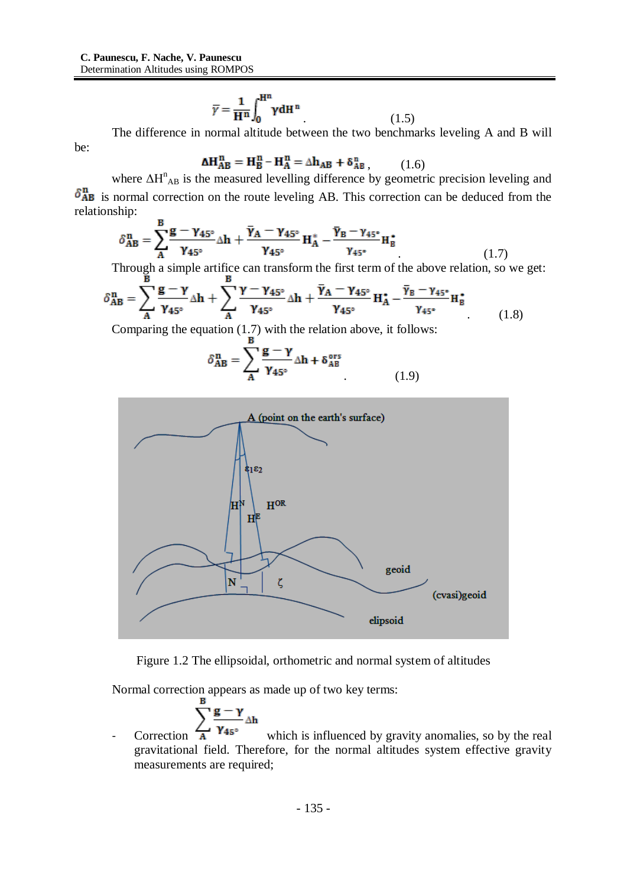$$
\overline{\gamma} = \frac{1}{H^n} \int_0^{H^n} \gamma dH^n \qquad (1.5)
$$

The difference in normal altitude between the two benchmarks leveling A and B will

be:

$$
\Delta H_{AB}^n = H_B^n - H_A^n = \Delta h_{AB} + \delta_{AB}^n, \qquad (1.6)
$$

where  $\Delta H_{AB}^{n}$  is the measured levelling difference by geometric precision leveling and  $\delta_{AB}^{n}$  is normal correction on the route leveling AB. This correction can be deduced from the relationship:

$$
\delta_{AB}^{\mathbf{n}} = \sum_{A}^{B} \frac{\mathbf{g} - \gamma_{45^{\circ}}}{\gamma_{45^{\circ}}} \Delta \mathbf{h} + \frac{\overline{\gamma}_{A} - \gamma_{45^{\circ}}}{\gamma_{45^{\circ}}} \mathbf{H}_{A}^{*} - \frac{\overline{\gamma}_{B} - \gamma_{45^{\circ}}}{\gamma_{45^{\circ}}} \mathbf{H}_{B}^{*}
$$
(1.7)

Through a simple artifice can transform the first term of the above relation, so we get:

$$
\delta_{AB}^{\mathbf{n}} = \sum_{\mathbf{A}}^{\mathbf{B}} \frac{\mathbf{g} - \gamma}{\gamma_{45^{\circ}}} \Delta \mathbf{h} + \sum_{\mathbf{A}}^{\mathbf{B}} \frac{\gamma - \gamma_{45^{\circ}}}{\gamma_{45^{\circ}}} \Delta \mathbf{h} + \frac{\overline{\gamma}_{A} - \gamma_{45^{\circ}}}{\gamma_{45^{\circ}}} \mathbf{H}_{A}^{\star} - \frac{\overline{\gamma}_{B} - \gamma_{45^{\circ}}}{\gamma_{45^{\circ}}} \mathbf{H}_{B}^{\star}
$$
(1.8)

Comparing the equation (1.7) with the relation above, it follows:

$$
\delta_{AB}^{\mathbf{n}} = \sum_{A} \frac{\mathbf{g} - \mathbf{\gamma}}{\gamma_{45^{\circ}}} \Delta \mathbf{h} + \delta_{AB}^{\text{ors}}
$$
 (1.9)



Figure 1.2 The ellipsoidal, orthometric and normal system of altitudes

Normal correction appears as made up of two key terms:

$$
\sum_{\gamma_{45}}^{\circ} \frac{g - \gamma}{\gamma_{45}}
$$

- Correction  $\overrightarrow{A}$   $Y_{45}^{\circ}$  which is influenced by gravity anomalies, so by the real gravitational field. Therefore, for the normal altitudes system effective gravity measurements are required;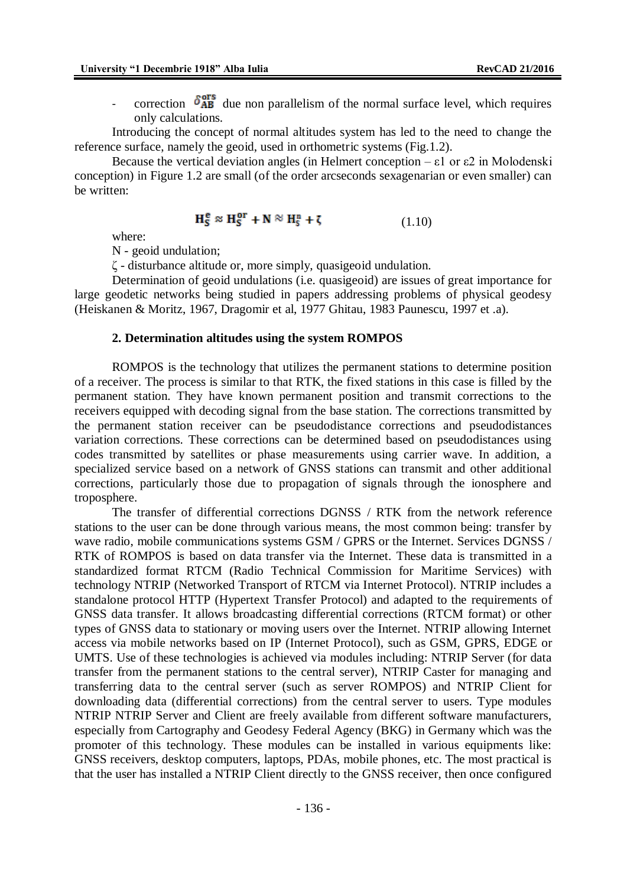- correction  $\delta_{AB}^{\text{or}s}$  due non parallelism of the normal surface level, which requires only calculations.

Introducing the concept of normal altitudes system has led to the need to change the reference surface, namely the geoid, used in orthometric systems (Fig.1.2).

Because the vertical deviation angles (in Helmert conception –  $\varepsilon$ 1 or  $\varepsilon$ 2 in Molodenski conception) in Figure 1.2 are small (of the order arcseconds sexagenarian or even smaller) can be written:

$$
\mathbf{H}_{\mathbf{S}}^{\mathbf{e}} \approx \mathbf{H}_{\mathbf{S}}^{\mathbf{or}} + \mathbf{N} \approx \mathbf{H}_{\mathbf{S}}^{\mathbf{n}} + \zeta \tag{1.10}
$$

where:

N - geoid undulation;

ζ - disturbance altitude or, more simply, quasigeoid undulation.

Determination of geoid undulations (i.e. quasigeoid) are issues of great importance for large geodetic networks being studied in papers addressing problems of physical geodesy (Heiskanen & Moritz, 1967, Dragomir et al, 1977 Ghitau, 1983 Paunescu, 1997 et .a).

### **2. Determination altitudes using the system ROMPOS**

ROMPOS is the technology that utilizes the permanent stations to determine position of a receiver. The process is similar to that RTK, the fixed stations in this case is filled by the permanent station. They have known permanent position and transmit corrections to the receivers equipped with decoding signal from the base station. The corrections transmitted by the permanent station receiver can be pseudodistance corrections and pseudodistances variation corrections. These corrections can be determined based on pseudodistances using codes transmitted by satellites or phase measurements using carrier wave. In addition, a specialized service based on a network of GNSS stations can transmit and other additional corrections, particularly those due to propagation of signals through the ionosphere and troposphere.

The transfer of differential corrections DGNSS / RTK from the network reference stations to the user can be done through various means, the most common being: transfer by wave radio, mobile communications systems GSM / GPRS or the Internet. Services DGNSS / RTK of ROMPOS is based on data transfer via the Internet. These data is transmitted in a standardized format RTCM (Radio Technical Commission for Maritime Services) with technology NTRIP (Networked Transport of RTCM via Internet Protocol). NTRIP includes a standalone protocol HTTP (Hypertext Transfer Protocol) and adapted to the requirements of GNSS data transfer. It allows broadcasting differential corrections (RTCM format) or other types of GNSS data to stationary or moving users over the Internet. NTRIP allowing Internet access via mobile networks based on IP (Internet Protocol), such as GSM, GPRS, EDGE or UMTS. Use of these technologies is achieved via modules including: NTRIP Server (for data transfer from the permanent stations to the central server), NTRIP Caster for managing and transferring data to the central server (such as server ROMPOS) and NTRIP Client for downloading data (differential corrections) from the central server to users. Type modules NTRIP NTRIP Server and Client are freely available from different software manufacturers, especially from Cartography and Geodesy Federal Agency (BKG) in Germany which was the promoter of this technology. These modules can be installed in various equipments like: GNSS receivers, desktop computers, laptops, PDAs, mobile phones, etc. The most practical is that the user has installed a NTRIP Client directly to the GNSS receiver, then once configured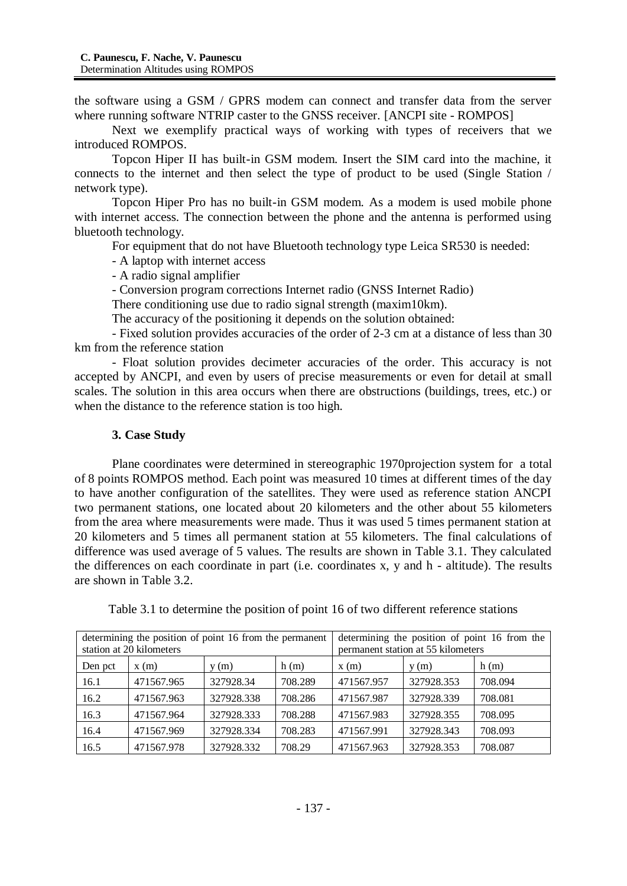the software using a GSM / GPRS modem can connect and transfer data from the server where running software NTRIP caster to the GNSS receiver. [ANCPI site - ROMPOS]

Next we exemplify practical ways of working with types of receivers that we introduced ROMPOS.

Topcon Hiper II has built-in GSM modem. Insert the SIM card into the machine, it connects to the internet and then select the type of product to be used (Single Station / network type).

Topcon Hiper Pro has no built-in GSM modem. As a modem is used mobile phone with internet access. The connection between the phone and the antenna is performed using bluetooth technology.

For equipment that do not have Bluetooth technology type Leica SR530 is needed:

- A laptop with internet access

- A radio signal amplifier

- Conversion program corrections Internet radio (GNSS Internet Radio)

There conditioning use due to radio signal strength (maxim10km).

The accuracy of the positioning it depends on the solution obtained:

- Fixed solution provides accuracies of the order of 2-3 cm at a distance of less than 30 km from the reference station

- Float solution provides decimeter accuracies of the order. This accuracy is not accepted by ANCPI, and even by users of precise measurements or even for detail at small scales. The solution in this area occurs when there are obstructions (buildings, trees, etc.) or when the distance to the reference station is too high.

# **3. Case Study**

Plane coordinates were determined in stereographic 1970projection system for a total of 8 points ROMPOS method. Each point was measured 10 times at different times of the day to have another configuration of the satellites. They were used as reference station ANCPI two permanent stations, one located about 20 kilometers and the other about 55 kilometers from the area where measurements were made. Thus it was used 5 times permanent station at 20 kilometers and 5 times all permanent station at 55 kilometers. The final calculations of difference was used average of 5 values. The results are shown in Table 3.1. They calculated the differences on each coordinate in part (i.e. coordinates x, y and h - altitude). The results are shown in Table 3.2.

| Table 3.1 to determine the position of point 16 of two different reference stations |  |  |  |  |
|-------------------------------------------------------------------------------------|--|--|--|--|
|-------------------------------------------------------------------------------------|--|--|--|--|

| determining the position of point 16 from the permanent<br>station at 20 kilometers |            |            | determining the position of point 16 from the<br>permanent station at 55 kilometers |            |            |         |
|-------------------------------------------------------------------------------------|------------|------------|-------------------------------------------------------------------------------------|------------|------------|---------|
| Den pct                                                                             | x(m)       | y(m)       | h(m)                                                                                | x(m)       | y(m)       | h(m)    |
| 16.1                                                                                | 471567.965 | 327928.34  | 708.289                                                                             | 471567.957 | 327928.353 | 708.094 |
| 16.2                                                                                | 471567.963 | 327928.338 | 708.286                                                                             | 471567.987 | 327928.339 | 708.081 |
| 16.3                                                                                | 471567.964 | 327928.333 | 708.288                                                                             | 471567.983 | 327928.355 | 708.095 |
| 16.4                                                                                | 471567.969 | 327928.334 | 708.283                                                                             | 471567.991 | 327928.343 | 708.093 |
| 16.5                                                                                | 471567.978 | 327928.332 | 708.29                                                                              | 471567.963 | 327928.353 | 708.087 |